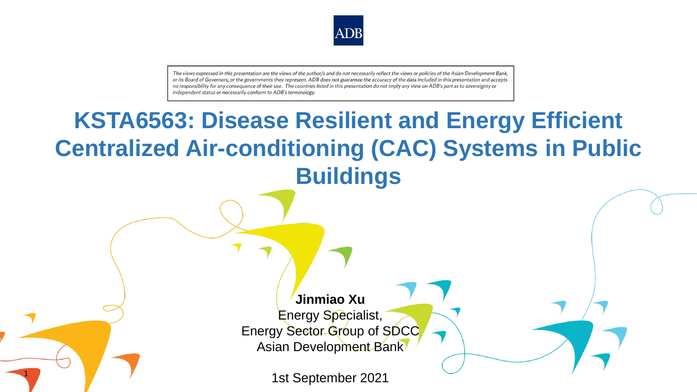

The views expressed in this presentation are the views of the author/s and do not necessarily reflect the views or policies of the Asian Development Bank. or its Board of Governors, or the governments they represent. ADB does not guarantee the accuracy of the data included in this presentation and accepts no responsibility for any consequence of their use. The countries listed in this presentation do not imply any view on ADB's part as to sovereignty or independent status or necessarily conform to ADB's terminology.

# **Jinmiao Xu** Energy Specialist, Energy Sector Group of SDCC Asian Development Bank 1st September 2021 **KSTA6563: Disease Resilient and Energy Efficient Centralized Air-conditioning (CAC) Systems in Public Buildings**

1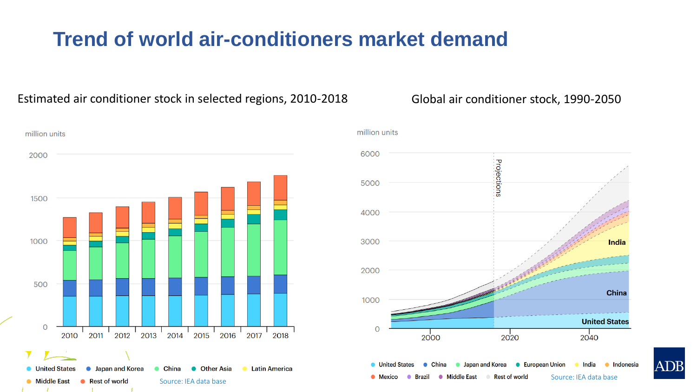# **Trend of world air-conditioners market demand**

### Estimated air conditioner stock in selected regions, 2010-2018 Global air conditioner stock, 1990-2050





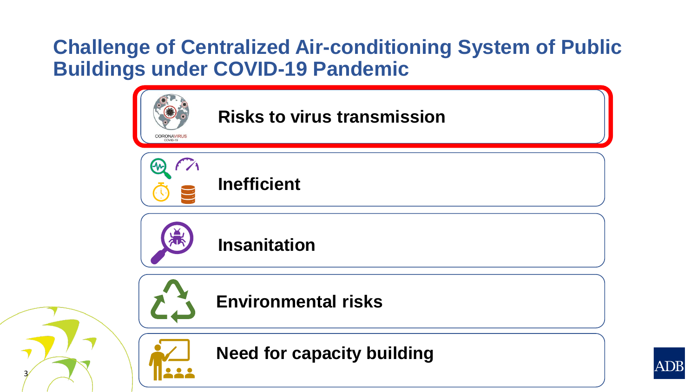# **Challenge of Centralized Air-conditioning System of Public Buildings under COVID-19 Pandemic**



3

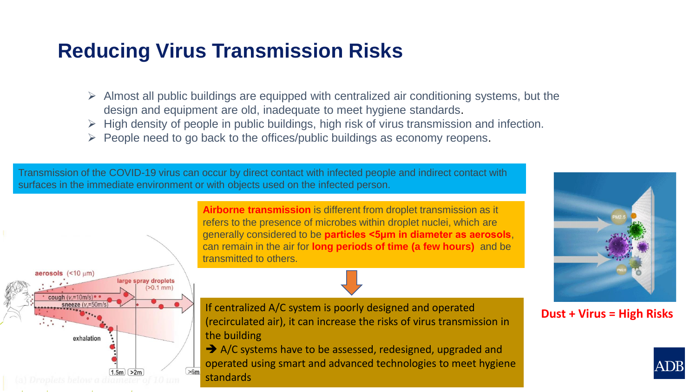## **Reducing Virus Transmission Risks**

- $\triangleright$  Almost all public buildings are equipped with centralized air conditioning systems, but the design and equipment are old, inadequate to meet hygiene standards.
- $\triangleright$  High density of people in public buildings, high risk of virus transmission and infection.
- ➢ People need to go back to the offices/public buildings as economy reopens.

Transmission of the COVID-19 virus can occur by direct contact with infected people and indirect contact with surfaces in the immediate environment or with objects used on the infected person.



**Airborne transmission** is different from droplet transmission as it refers to the presence of microbes within droplet nuclei, which are generally considered to be **particles <5μm in diameter as aerosols**, can remain in the air for **long periods of time (a few hours)** and be transmitted to others.

If centralized A/C system is poorly designed and operated (recirculated air), it can increase the risks of virus transmission in the building

**→** A/C systems have to be assessed, redesigned, upgraded and operated using smart and advanced technologies to meet hygiene standards



**Dust + Virus = High Risks**

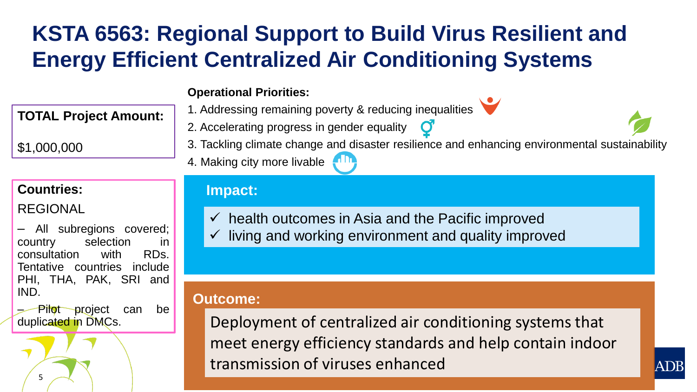# **KSTA 6563: Regional Support to Build Virus Resilient and Energy Efficient Centralized Air Conditioning Systems**

1. Addressing remaining poverty & reducing inequalities

2. Accelerating progress in gender equality

### **Operational Priorities:**

4. Making city more livable

## **TOTAL Project Amount:**

\$1,000,000

## **Countries:**

REGIONAL

5

– All subregions covered; country selection in consultation with RDs. Tentative countries include PHI, THA, PAK, SRI and IND.

– Pilot project can be duplicated in DMCs.

## **Impact:**

- $\checkmark$  health outcomes in Asia and the Pacific improved
- living and working environment and quality improved

## **Outcome:**

Deployment of centralized air conditioning systems that meet energy efficiency standards and help contain indoor transmission of viruses enhanced

3. Tackling climate change and disaster resilience and enhancing environmental sustainability

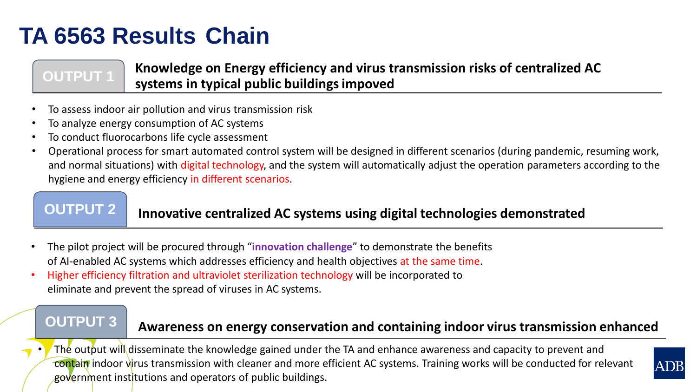# **TA 6563 Results Chain**

**OUTPUT 1 Knowledge on Energy efficiency and virus transmission risks of centralized AC systems in typical public buildings impoved**

- To assess indoor air pollution and virus transmission risk
- To analyze energy consumption of AC systems
- To conduct fluorocarbons life cycle assessment
- Operational process for smart automated control system will be designed in different scenarios (during pandemic, resuming work, and normal situations) with digital technology, and the system will automatically adjust the operation parameters according to the hygiene and energy efficiency in different scenarios.

## **OUTPUT 2** Innovative centralized AC systems using digital technologies demonstrated

- The pilot project will be procured through "**innovation challenge**" to demonstrate the benefits of AI-enabled AC systems which addresses efficiency and health objectives at the same time.
- Higher efficiency filtration and ultraviolet sterilization technology will be incorporated to eliminate and prevent the spread of viruses in AC systems.

## **OUTPUT 3 Awareness on energy conservation and containing indoor virus transmission enhanced**

The output will disseminate the knowledge gained under the TA and enhance awareness and capacity to prevent and contain indoor virus transmission with cleaner and more efficient AC systems. Training works will be conducted for relevant government institutions and operators of public buildings.

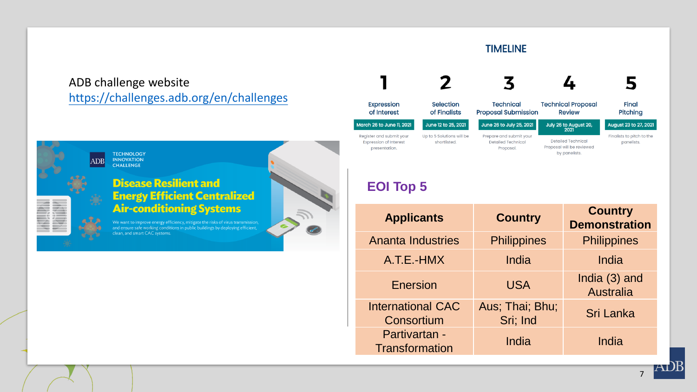### **TIMELINE**

### ADB challenge website <https://challenges.adb.org/en/challenges>

**TECHNOLOGY** 

**INNOVATION** 

**CHALLENGE** 



### **Disease Resilient and Energy Efficient Centralized Air-conditioning Systems**

We want to improve energy efficiency, mitigate the risks of virus transmission, and ensure safe working conditions in public buildings by deploying efficient, clean, and smart CAC systems.



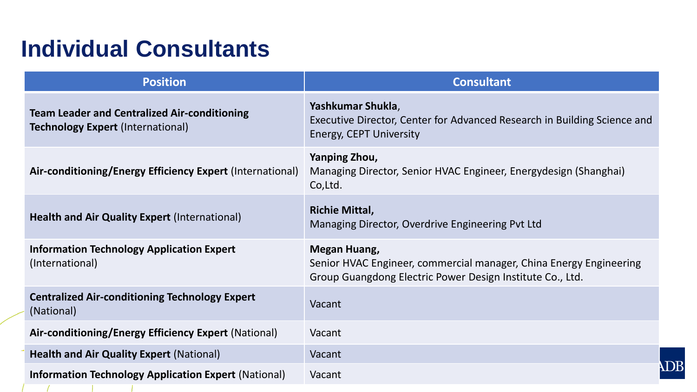# **Individual Consultants**

| <b>Position</b>                                                                                 | <b>Consultant</b>                                                                                                                               |
|-------------------------------------------------------------------------------------------------|-------------------------------------------------------------------------------------------------------------------------------------------------|
| <b>Team Leader and Centralized Air-conditioning</b><br><b>Technology Expert (International)</b> | Yashkumar Shukla,<br>Executive Director, Center for Advanced Research in Building Science and<br><b>Energy, CEPT University</b>                 |
| Air-conditioning/Energy Efficiency Expert (International)                                       | Yanping Zhou,<br>Managing Director, Senior HVAC Engineer, Energydesign (Shanghai)<br>Co, Ltd.                                                   |
| <b>Health and Air Quality Expert (International)</b>                                            | <b>Richie Mittal,</b><br>Managing Director, Overdrive Engineering Pvt Ltd                                                                       |
| <b>Information Technology Application Expert</b><br>(International)                             | Megan Huang,<br>Senior HVAC Engineer, commercial manager, China Energy Engineering<br>Group Guangdong Electric Power Design Institute Co., Ltd. |
| <b>Centralized Air-conditioning Technology Expert</b><br>(National)                             | Vacant                                                                                                                                          |
| Air-conditioning/Energy Efficiency Expert (National)                                            | Vacant                                                                                                                                          |
| <b>Health and Air Quality Expert (National)</b>                                                 | Vacant                                                                                                                                          |
| <b>Information Technology Application Expert (National)</b>                                     | Vacant                                                                                                                                          |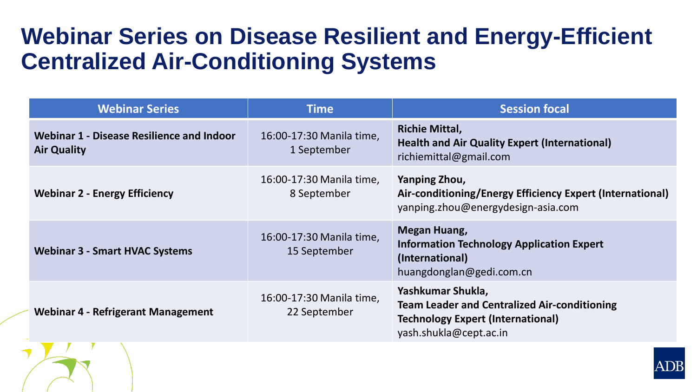# **Webinar Series on Disease Resilient and Energy-Efficient Centralized Air-Conditioning Systems**

| <b>Webinar Series</b>                                           | <b>Time</b>                              | <b>Session focal</b>                                                                                                                           |
|-----------------------------------------------------------------|------------------------------------------|------------------------------------------------------------------------------------------------------------------------------------------------|
| Webinar 1 - Disease Resilience and Indoor<br><b>Air Quality</b> | 16:00-17:30 Manila time,<br>1 September  | <b>Richie Mittal,</b><br><b>Health and Air Quality Expert (International)</b><br>richiemittal@gmail.com                                        |
| <b>Webinar 2 - Energy Efficiency</b>                            | 16:00-17:30 Manila time,<br>8 September  | Yanping Zhou,<br>Air-conditioning/Energy Efficiency Expert (International)<br>yanping.zhou@energydesign-asia.com                               |
| <b>Webinar 3 - Smart HVAC Systems</b>                           | 16:00-17:30 Manila time,<br>15 September | <b>Megan Huang,</b><br><b>Information Technology Application Expert</b><br>(International)<br>huangdonglan@gedi.com.cn                         |
| <b>Webinar 4 - Refrigerant Management</b>                       | 16:00-17:30 Manila time,<br>22 September | Yashkumar Shukla,<br><b>Team Leader and Centralized Air-conditioning</b><br><b>Technology Expert (International)</b><br>yash.shukla@cept.ac.in |